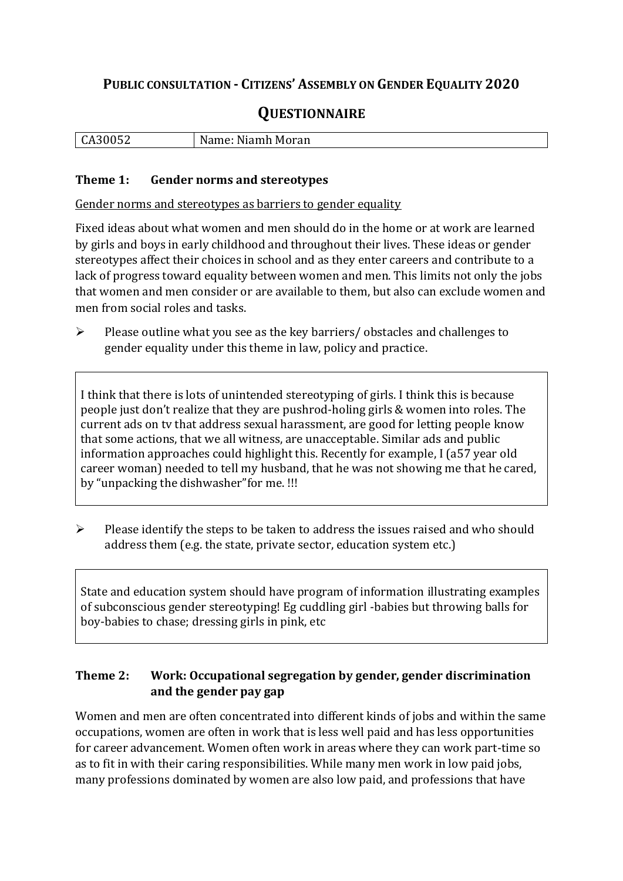## **PUBLIC CONSULTATION - CITIZENS' ASSEMBLY ON GENDER EQUALITY 2020**

# **QUESTIONNAIRE**

| $\sim$ $\sim$ $\sim$ | Namer         |
|----------------------|---------------|
| $\mathbf{r}$         | : Niamh Moran |
| <u>GASUUSZ</u>       | Name:         |
|                      |               |

#### **Theme 1: Gender norms and stereotypes**

Gender norms and stereotypes as barriers to gender equality

Fixed ideas about what women and men should do in the home or at work are learned by girls and boys in early childhood and throughout their lives. These ideas or gender stereotypes affect their choices in school and as they enter careers and contribute to a lack of progress toward equality between women and men. This limits not only the jobs that women and men consider or are available to them, but also can exclude women and men from social roles and tasks.

➢ Please outline what you see as the key barriers/ obstacles and challenges to gender equality under this theme in law, policy and practice.

I think that there is lots of unintended stereotyping of girls. I think this is because people just don't realize that they are pushrod-holing girls & women into roles. The current ads on tv that address sexual harassment, are good for letting people know that some actions, that we all witness, are unacceptable. Similar ads and public information approaches could highlight this. Recently for example, I (a57 year old career woman) needed to tell my husband, that he was not showing me that he cared, by "unpacking the dishwasher"for me. !!!

➢ Please identify the steps to be taken to address the issues raised and who should address them (e.g. the state, private sector, education system etc.)

State and education system should have program of information illustrating examples of subconscious gender stereotyping! Eg cuddling girl -babies but throwing balls for boy-babies to chase; dressing girls in pink, etc

### **Theme 2: Work: Occupational segregation by gender, gender discrimination and the gender pay gap**

Women and men are often concentrated into different kinds of jobs and within the same occupations, women are often in work that is less well paid and has less opportunities for career advancement. Women often work in areas where they can work part-time so as to fit in with their caring responsibilities. While many men work in low paid jobs, many professions dominated by women are also low paid, and professions that have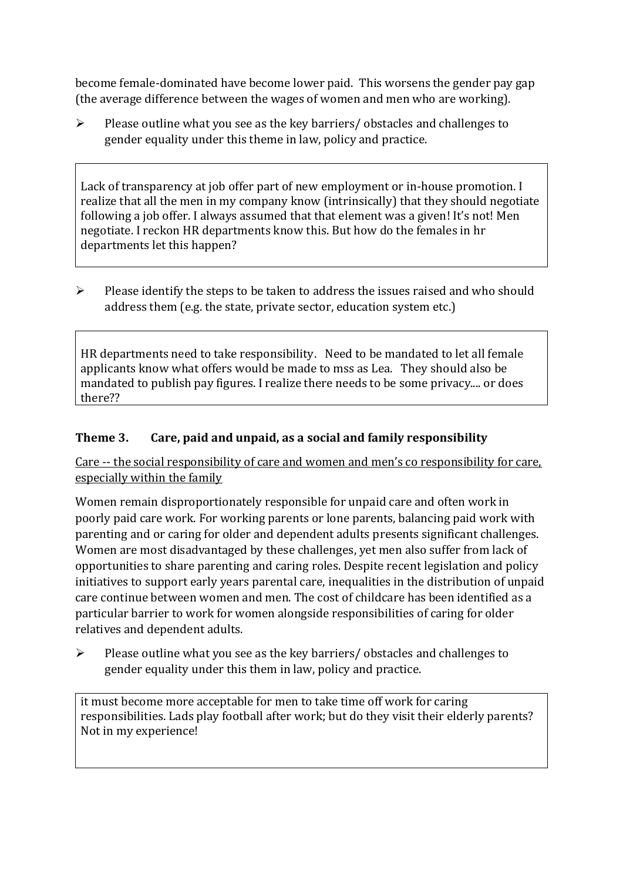become female-dominated have become lower paid. This worsens the gender pay gap (the average difference between the wages of women and men who are working).

➢ Please outline what you see as the key barriers/ obstacles and challenges to gender equality under this theme in law, policy and practice.

Lack of transparency at job offer part of new employment or in-house promotion. I realize that all the men in my company know (intrinsically) that they should negotiate following a job offer. I always assumed that that element was a given! It's not! Men negotiate. I reckon HR departments know this. But how do the females in hr departments let this happen?

➢ Please identify the steps to be taken to address the issues raised and who should address them (e.g. the state, private sector, education system etc.)

HR departments need to take responsibility. Need to be mandated to let all female applicants know what offers would be made to mss as Lea. They should also be mandated to publish pay figures. I realize there needs to be some privacy.... or does there??

### **Theme 3. Care, paid and unpaid, as a social and family responsibility**

Care -- the social responsibility of care and women and men's co responsibility for care, especially within the family

Women remain disproportionately responsible for unpaid care and often work in poorly paid care work. For working parents or [lone parents,](https://aran.library.nuigalway.ie/bitstream/handle/10379/6044/Millar_and_Crosse_Activation_Report.pdf?sequence=1&isAllowed=y) balancing paid work with parenting and or caring for older and dependent adults presents significant challenges. Women are [most disadvantaged by these challenges,](https://eige.europa.eu/gender-equality-index/game/IE/W) yet men also suffer from lack of opportunities to share parenting and caring roles. Despite recent legislation and policy initiatives to support early years parental care, [inequalities in the distribution of unpaid](https://www.ihrec.ie/app/uploads/2019/07/Caring-and-Unpaid-Work-in-Ireland_Final.pdf)  [care](https://www.ihrec.ie/app/uploads/2019/07/Caring-and-Unpaid-Work-in-Ireland_Final.pdf) continue between women and men. The cost of childcare has been identified as a particular barrier to work for women alongside responsibilities of caring for older relatives and dependent adults.

➢ Please outline what you see as the key barriers/ obstacles and challenges to gender equality under this them in law, policy and practice.

it must become more acceptable for men to take time off work for caring responsibilities. Lads play football after work; but do they visit their elderly parents? Not in my experience!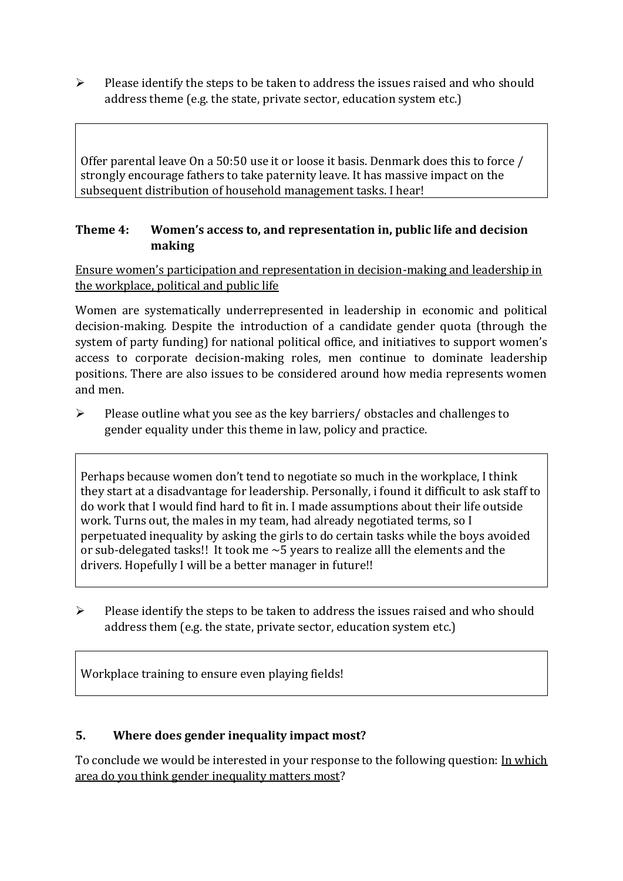➢ Please identify the steps to be taken to address the issues raised and who should address theme (e.g. the state, private sector, education system etc.)

Offer parental leave On a 50:50 use it or loose it basis. Denmark does this to force / strongly encourage fathers to take paternity leave. It has massive impact on the subsequent distribution of household management tasks. I hear!

## **Theme 4: Women's access to, and representation in, public life and decision making**

Ensure women's participation and representation in decision-making and leadership in the workplace, political and public life

Women are systematically underrepresented in leadership in [economic](https://eige.europa.eu/gender-equality-index/2019/compare-countries/power/2/bar) and [political](https://eige.europa.eu/gender-equality-index/2019/compare-countries/power/1/bar)  [decision-](https://eige.europa.eu/gender-equality-index/2019/compare-countries/power/1/bar)making. Despite the introduction of a candidate gender quota (through the system of party funding) for national political office, and [initiatives](https://betterbalance.ie/) to support women's access to corporate decision-making roles, men continue to dominate leadership positions. There are also issues to be considered around how media represents women and men.

➢ Please outline what you see as the key barriers/ obstacles and challenges to gender equality under this theme in law, policy and practice.

Perhaps because women don't tend to negotiate so much in the workplace, I think they start at a disadvantage for leadership. Personally, i found it difficult to ask staff to do work that I would find hard to fit in. I made assumptions about their life outside work. Turns out, the males in my team, had already negotiated terms, so I perpetuated inequality by asking the girls to do certain tasks while the boys avoided or sub-delegated tasks!! It took me  $\sim$  5 years to realize alll the elements and the drivers. Hopefully I will be a better manager in future!!

➢ Please identify the steps to be taken to address the issues raised and who should address them (e.g. the state, private sector, education system etc.)

Workplace training to ensure even playing fields!

#### **5. Where does gender inequality impact most?**

To conclude we would be interested in your response to the following question: In which area do you think gender inequality matters most?